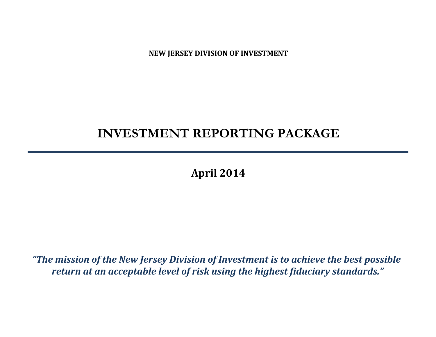**NEW JERSEY DIVISION OF INVESTMENT**

# **INVESTMENT REPORTING PACKAGE**

**April 2014**

*"The mission of the New Jersey Division of Investment is to achieve the best possible return at an acceptable level of risk using the highest fiduciary standards."*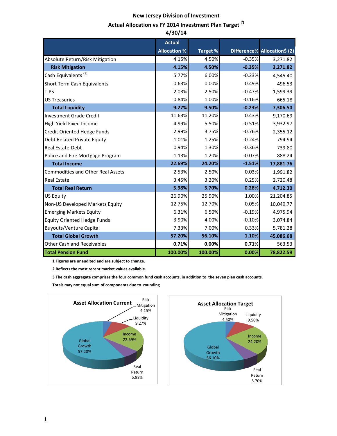## **New Jersey Division of Investment**

## Actual Allocation vs FY 2014 Investment Plan Target<sup>(1)</sup>

|                                          | 4/30/14             |          |          |                              |
|------------------------------------------|---------------------|----------|----------|------------------------------|
|                                          | <b>Actual</b>       |          |          |                              |
|                                          | <b>Allocation %</b> | Target % |          | Difference% Allocation\$ (2) |
| Absolute Return/Risk Mitigation          | 4.15%               | 4.50%    | $-0.35%$ | 3,271.82                     |
| <b>Risk Mitigation</b>                   | 4.15%               | 4.50%    | $-0.35%$ | 3,271.82                     |
| Cash Equivalents <sup>(3)</sup>          | 5.77%               | 6.00%    | $-0.23%$ | 4,545.40                     |
| Short Term Cash Equivalents              | 0.63%               | 0.00%    | 0.49%    | 496.53                       |
| <b>TIPS</b>                              | 2.03%               | 2.50%    | $-0.47%$ | 1,599.39                     |
| <b>US Treasuries</b>                     | 0.84%               | 1.00%    | $-0.16%$ | 665.18                       |
| <b>Total Liquidity</b>                   | 9.27%               | 9.50%    | $-0.23%$ | 7,306.50                     |
| <b>Investment Grade Credit</b>           | 11.63%              | 11.20%   | 0.43%    | 9,170.69                     |
| High Yield Fixed Income                  | 4.99%               | 5.50%    | $-0.51%$ | 3,932.97                     |
| Credit Oriented Hedge Funds              | 2.99%               | 3.75%    | $-0.76%$ | 2,355.12                     |
| Debt Related Private Equity              | 1.01%               | 1.25%    | $-0.24%$ | 794.94                       |
| <b>Real Estate-Debt</b>                  | 0.94%               | 1.30%    | $-0.36%$ | 739.80                       |
| Police and Fire Mortgage Program         | 1.13%               | 1.20%    | $-0.07%$ | 888.24                       |
| <b>Total Income</b>                      | 22.69%              | 24.20%   | $-1.51%$ | 17,881.76                    |
| <b>Commodities and Other Real Assets</b> | 2.53%               | 2.50%    | 0.03%    | 1,991.82                     |
| <b>Real Estate</b>                       | 3.45%               | 3.20%    | 0.25%    | 2,720.48                     |
| <b>Total Real Return</b>                 | 5.98%               | 5.70%    | 0.28%    | 4,712.30                     |
| <b>US Equity</b>                         | 26.90%              | 25.90%   | 1.00%    | 21,204.85                    |
| Non-US Developed Markets Equity          | 12.75%              | 12.70%   | 0.05%    | 10,049.77                    |
| <b>Emerging Markets Equity</b>           | 6.31%               | 6.50%    | $-0.19%$ | 4,975.94                     |
| <b>Equity Oriented Hedge Funds</b>       | 3.90%               | 4.00%    | $-0.10%$ | 3,074.84                     |
| <b>Buyouts/Venture Capital</b>           | 7.33%               | 7.00%    | 0.33%    | 5,781.28                     |
| <b>Total Global Growth</b>               | 57.20%              | 56.10%   | 1.10%    | 45,086.68                    |
| <b>Other Cash and Receivables</b>        | 0.71%               | 0.00%    | 0.71%    | 563.53                       |
| <b>Total Pension Fund</b>                | 100.00%             | 100.00%  | 0.00%    | 78,822.59                    |

 **1 Figures are unaudited and are subject to change.**

 **2 Reflects the most recent market values available.**

 **3 The cash aggregate comprises the four common fund cash accounts, in addition to the seven plan cash accounts.**

 **Totals may not equal sum of components due to rounding**



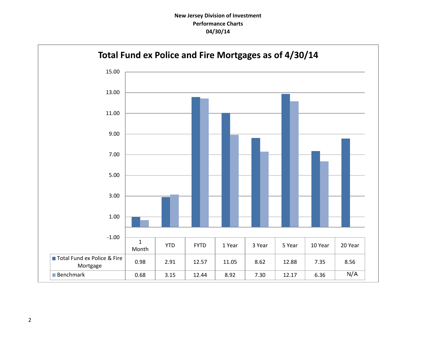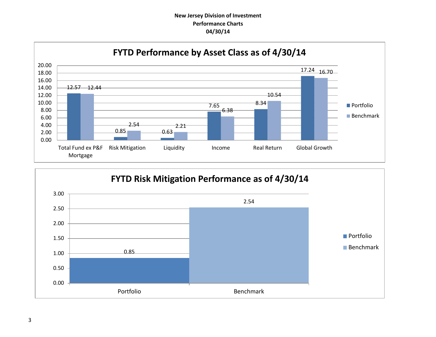## **New Jersey Division of Investment Performance Charts 04/30/14**



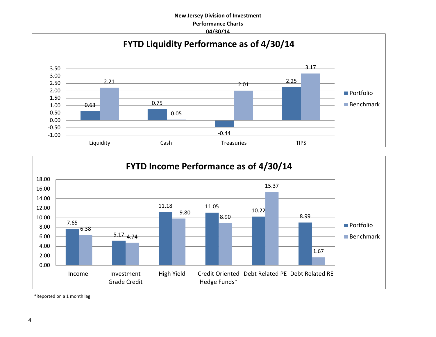## **New Jersey Division of Investment Performance Charts 04/30/14**





\*Reported on a 1 month lag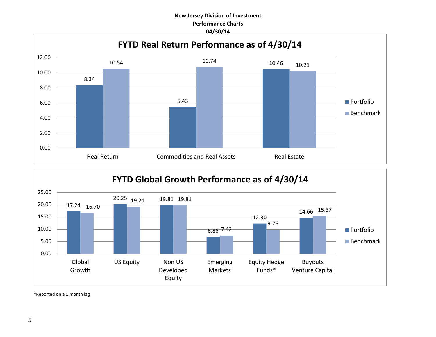## **New Jersey Division of Investment Performance Charts 04/30/14**





\*Reported on a 1 month lag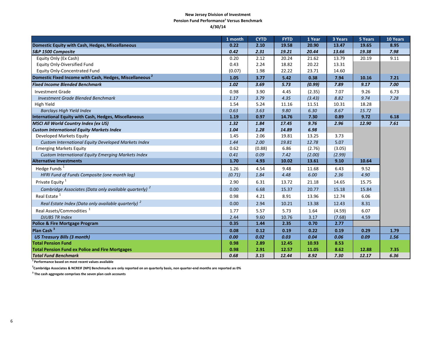#### **New Jersey Division of Investment Pension Fund Performance<sup>1</sup> Versus Benchmark 4/30/14**

|                                                                     | 1 month | <b>CYTD</b> | <b>FYTD</b> | 1 Year | 3 Years | 5 Years | 10 Years |
|---------------------------------------------------------------------|---------|-------------|-------------|--------|---------|---------|----------|
| Domestic Equity with Cash, Hedges, Miscellaneous                    | 0.22    | 2.10        | 19.58       | 20.90  | 13.47   | 19.65   | 8.95     |
| S&P 1500 Composite                                                  | 0.42    | 2.31        | 19.21       | 20.44  | 13.66   | 19.38   | 7.98     |
| Equity Only (Ex Cash)                                               | 0.20    | 2.12        | 20.24       | 21.62  | 13.79   | 20.19   | 9.11     |
| Equity Only-Diversified Fund                                        | 0.43    | 2.24        | 18.82       | 20.22  | 13.31   |         |          |
| Equity Only-Concentrated Fund                                       | (0.07)  | 1.98        | 22.22       | 23.71  | 14.60   |         |          |
| Domestic Fixed Income with Cash, Hedges, Miscellaneous <sup>2</sup> | 1.05    | 3.77        | 5.42        | 0.38   | 7.94    | 10.16   | 7.21     |
| <b>Fixed Income Blended Benchmark</b>                               | 1.02    | 3.69        | 5.73        | (0.99) | 7.89    | 9.17    | 7.00     |
| <b>Investment Grade</b>                                             | 0.98    | 3.90        | 4.45        | (2.35) | 7.07    | 9.26    | 6.73     |
| <b>Investment Grade Blended Benchmark</b>                           | 1.17    | 3.79        | 4.35        | (3.43) | 8.82    | 9.74    | 7.28     |
| High Yield                                                          | 1.54    | 5.24        | 11.16       | 11.51  | 10.31   | 18.28   |          |
| <b>Barclays High Yield Index</b>                                    | 0.63    | 3.63        | 9.80        | 6.30   | 8.67    | 15.72   |          |
| International Equity with Cash, Hedges, Miscellaneous               | 1.19    | 0.97        | 14.76       | 7.30   | 0.89    | 9.72    | 6.18     |
| <b>MSCI All World Country Index (ex US)</b>                         | 1.32    | 1.84        | 17.45       | 9.76   | 2.96    | 12.90   | 7.61     |
| <b>Custom International Equity Markets Index</b>                    | 1.04    | 1.28        | 14.89       | 6.98   |         |         |          |
| Developed Markets Equity                                            | 1.45    | 2.06        | 19.81       | 13.25  | 3.73    |         |          |
| Custom International Equity Developed Markets Index                 | 1.44    | 2.00        | 19.81       | 12.78  | 5.07    |         |          |
| <b>Emerging Markets Equity</b>                                      | 0.62    | (0.88)      | 6.86        | (2.76) | (3.05)  |         |          |
| Custom International Equity Emerging Markets Index                  | 0.41    | 0.09        | 7.42        | (2.00) | (2.99)  |         |          |
| <b>Alternative Investments</b>                                      | 1.70    | 4.93        | 10.02       | 13.61  | 9.10    | 10.64   |          |
| Hedge Funds <sup>1</sup>                                            | 1.26    | 4.54        | 9.48        | 11.68  | 6.43    | 9.52    |          |
| HFRI Fund of Funds Composite (one month lag)                        | (0.71)  | 1.84        | 4.48        | 6.00   | 2.36    | 4.90    |          |
| Private Equity <sup>1</sup>                                         | 2.90    | 6.31        | 13.72       | 21.18  | 14.65   | 15.75   |          |
| Cambridge Associates (Data only available quarterly) <sup>2</sup>   | 0.00    | 6.68        | 15.37       | 20.77  | 15.18   | 15.84   |          |
| Real Estate <sup>1</sup>                                            | 0.98    | 4.21        | 8.91        | 13.96  | 12.74   | 6.06    |          |
| Real Estate Index (Data only available quarterly) <sup>2</sup>      | 0.00    | 2.94        | 10.21       | 13.38  | 12.43   | 8.31    |          |
| Real Assets/Commodities <sup>1</sup>                                | 1.77    | 5.57        | 5.73        | 1.64   | (4.59)  | 6.07    |          |
| <b>DJUBS TR Index</b>                                               | 2.44    | 9.60        | 10.76       | 3.17   | (7.68)  | 4.59    |          |
| <b>Police &amp; Fire Mortgage Program</b>                           | 0.35    | 1.44        | 2.35        | 0.70   | 2.77    |         |          |
| Plan Cash <sup>3</sup>                                              | 0.08    | 0.12        | 0.19        | 0.22   | 0.19    | 0.29    | 1.79     |
| <b>US Treasury Bills (3 month)</b>                                  | 0.00    | 0.02        | 0.03        | 0.04   | 0.06    | 0.09    | 1.56     |
| <b>Total Pension Fund</b>                                           | 0.98    | 2.89        | 12.45       | 10.93  | 8.53    |         |          |
| <b>Total Pension Fund ex Police and Fire Mortgages</b>              | 0.98    | 2.91        | 12.57       | 11.05  | 8.62    | 12.88   | 7.35     |
| <b>Total Fund Benchmark</b>                                         | 0.68    | 3.15        | 12.44       | 8.92   | 7.30    | 12.17   | 6.36     |

**1 Performance based on most recent values available**

**2 Cambridge Associates & NCREIF (NPI) Benchmarks are only reported on an quarterly basis, non quarter-end months are reported as 0%**

**3 The cash aggregate comprises the seven plan cash accounts**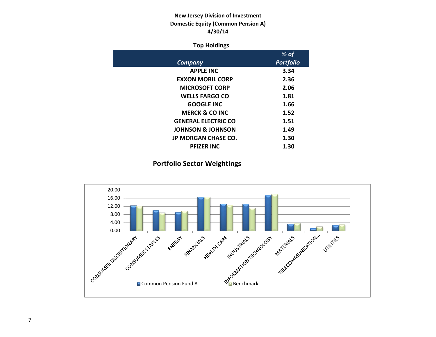## **New Jersey Division of Investment Domestic Equity (Common Pension A) 4/30/14**

## **Top Holdings**

|                              | % of             |
|------------------------------|------------------|
| Company                      | <b>Portfolio</b> |
| <b>APPLE INC</b>             | 3.34             |
| <b>EXXON MOBIL CORP</b>      | 2.36             |
| <b>MICROSOFT CORP</b>        | 2.06             |
| <b>WELLS FARGO CO</b>        | 1.81             |
| <b>GOOGLE INC</b>            | 1.66             |
| <b>MERCK &amp; CO INC</b>    | 1.52             |
| <b>GENERAL ELECTRIC CO</b>   | 1.51             |
| <b>JOHNSON &amp; JOHNSON</b> | 1.49             |
| <b>JP MORGAN CHASE CO.</b>   | 1.30             |
| <b>PFIZER INC</b>            | 1.30             |

## **Portfolio Sector Weightings**

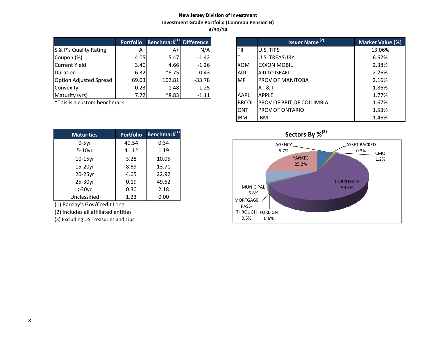## **New Jersey Division of Investment Investment Grade Portfolio (Common Pension B) 4/30/14**

|                               | <b>Portfolio</b> | Benchmark <sup>(1)</sup> Difference |          |             | Issuer Name <sup>(2)</sup> | <b>Market Valu</b> |
|-------------------------------|------------------|-------------------------------------|----------|-------------|----------------------------|--------------------|
| S & P's Quality Rating        | A+l              | A+                                  | N/A      | lTII        | U.S. TIPS                  | 13.06%             |
| Coupon (%)                    | 4.05             | 5.47                                | $-1.42$  |             | <b>U.S. TREASURY</b>       | 6.62%              |
| Current Yield                 | 3.40             | 4.66                                | $-1.26$  | <b>IXOM</b> | <b>EXXON MOBIL</b>         | 2.38%              |
| Duration                      | 6.32             | $*6.75$                             | $-0.43$  | <b>AID</b>  | <b>AID TO ISRAEL</b>       | 2.26%              |
| <b>Option Adjusted Spread</b> | 69.03            | 102.81                              | $-33.78$ | <b>IMP</b>  | <b>IPROV OF MANITOBA</b>   | 2.16%              |
| Convexity                     | 0.23             | 1.48                                | $-1.25$  |             | <b>IAT &amp; T</b>         | 1.86%              |
| Maturity (yrs)                | 7.72             | $*8.83$                             | $-1.11$  | <b>AAPL</b> | <b>APPLE</b>               | 1.77%              |

 $*$ This is a custom benchmark

| <b>Maturities</b> | <b>Portfolio</b> | Benchmark <sup>(1)</sup> |
|-------------------|------------------|--------------------------|
| $0-5$ yr          | 40.54            | 0.34                     |
| $5-10$ yr         | 41.12            | 1.19                     |
| $10-15$ yr        | 3.28             | 10.05                    |
| 15-20yr           | 8.69             | 13.71                    |
| 20-25yr           | 4.65             | 22.92                    |
| 25-30yr           | 0.19             | 49.62                    |
| $>30$ yr          | 0.30             | 2.18                     |
| Unclassified      | 1.23             | 0.00                     |

(1) Barclay's Gov/Credit Long

(2) Includes all affiliated entities

(3) Excluding US Treasuries and Tips

| <b>Portfolio</b> | Benchmark <sup>(1)</sup> Difference |          |              | <b>Issuer Name<sup>(2)</sup></b> | Market Value [%] |
|------------------|-------------------------------------|----------|--------------|----------------------------------|------------------|
| $A+$             | $A+$                                | N/A      | ΤIΙ          | U.S. TIPS                        | 13.06%           |
| 4.05             | 5.47                                | $-1.42$  |              | <b>U.S. TREASURY</b>             | 6.62%            |
| 3.40             | 4.66                                | $-1.26$  | <b>XOM</b>   | <b>EXXON MOBIL</b>               | 2.38%            |
| 6.32             | $*6.75$                             | $-0.43$  | <b>AID</b>   | <b>AID TO ISRAEL</b>             | 2.26%            |
| 69.03            | 102.81                              | $-33.78$ | <b>MP</b>    | PROV OF MANITOBA                 | 2.16%            |
| 0.23             | 1.48                                | $-1.25$  |              | AT & T                           | 1.86%            |
| 7.72             | $*8.83$                             | $-1.11$  | AAPL         | <b>APPLF</b>                     | 1.77%            |
| ۰k               |                                     |          | <b>BRCOL</b> | PROV OF BRIT OF COLUMBIA         | 1.67%            |
|                  |                                     |          | <b>ONT</b>   | <b>PROV OF ONTARIO</b>           | 1.53%            |
|                  |                                     |          | <b>IBM</b>   | <b>IBM</b>                       | 1.46%            |

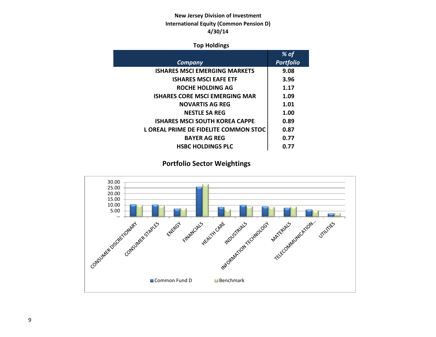## **New Jersey Division of Investment International Equity (Common Pension D) 4/30/14**

## **Top Holdings**

|                                       | $%$ of           |
|---------------------------------------|------------------|
| Company                               | <b>Portfolio</b> |
| <b>ISHARES MSCI EMERGING MARKETS</b>  | 9.08             |
| <b>ISHARES MSCI EAFE ETF</b>          | 3.96             |
| ROCHE HOLDING AG                      | 1.17             |
| <b>ISHARES CORE MSCI EMERGING MAR</b> | 1.09             |
| <b>NOVARTIS AG REG</b>                | 1.01             |
| <b>NESTLE SA REG</b>                  | 1.00             |
| <b>ISHARES MSCI SOUTH KOREA CAPPE</b> | 0.89             |
| L OREAL PRIME DE FIDELITE COMMON STOC | 0.87             |
| <b>BAYER AG REG</b>                   | 0.77             |
| <b>HSBC HOLDINGS PLC</b>              | 0.77             |

## **Portfolio Sector Weightings**

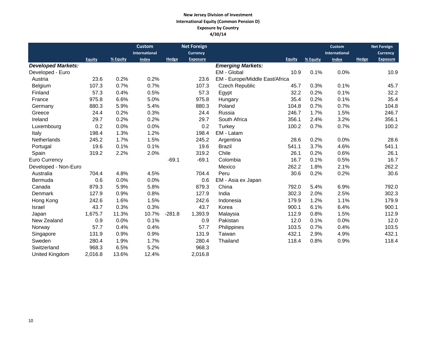### **New Jersey Division of Investment International Equity (Common Pension D) Exposure by Country 4/30/14**

|                           |               |          | <b>Custom</b> |              | <b>Net Foreign</b> |                                |        |          | Custom               |       | <b>Net Foreign</b> |
|---------------------------|---------------|----------|---------------|--------------|--------------------|--------------------------------|--------|----------|----------------------|-------|--------------------|
|                           |               |          | International |              | <b>Currency</b>    |                                |        |          | <b>International</b> |       | <b>Currency</b>    |
|                           | <b>Equity</b> | % Equity | <b>Index</b>  | <b>Hedge</b> | <b>Exposure</b>    |                                | Equity | % Equity | <b>Index</b>         | Hedge | <b>Exposure</b>    |
| <b>Developed Markets:</b> |               |          |               |              |                    | <b>Emerging Markets:</b>       |        |          |                      |       |                    |
| Developed - Euro          |               |          |               |              |                    | EM - Global                    | 10.9   | 0.1%     | 0.0%                 |       | 10.9               |
| Austria                   | 23.6          | 0.2%     | 0.2%          |              | 23.6               | EM - Europe/Middle East/Africa |        |          |                      |       |                    |
| Belgium                   | 107.3         | 0.7%     | 0.7%          |              | 107.3              | <b>Czech Republic</b>          | 45.7   | 0.3%     | 0.1%                 |       | 45.7               |
| Finland                   | 57.3          | 0.4%     | 0.5%          |              | 57.3               | Egypt                          | 32.2   | 0.2%     | 0.1%                 |       | 32.2               |
| France                    | 975.8         | 6.6%     | 5.0%          |              | 975.8              | Hungary                        | 35.4   | 0.2%     | 0.1%                 |       | 35.4               |
| Germany                   | 880.3         | 5.9%     | 5.4%          |              | 880.3              | Poland                         | 104.8  | 0.7%     | 0.7%                 |       | 104.8              |
| Greece                    | 24.4          | 0.2%     | 0.3%          |              | 24.4               | Russia                         | 246.7  | 1.7%     | 1.5%                 |       | 246.7              |
| Ireland                   | 29.7          | 0.2%     | 0.2%          |              | 29.7               | South Africa                   | 356.1  | 2.4%     | 3.2%                 |       | 356.1              |
| Luxembourg                | 0.2           | 0.0%     | 0.0%          |              | 0.2                | Turkey                         | 100.2  | 0.7%     | 0.7%                 |       | 100.2              |
| Italy                     | 198.4         | 1.3%     | 1.2%          |              | 198.4              | EM - Latam                     |        |          |                      |       |                    |
| Netherlands               | 245.2         | 1.7%     | 1.5%          |              | 245.2              | Argentina                      | 28.6   | 0.2%     | 0.0%                 |       | 28.6               |
| Portugal                  | 19.6          | 0.1%     | 0.1%          |              | 19.6               | <b>Brazil</b>                  | 541.1  | 3.7%     | 4.6%                 |       | 541.1              |
| Spain                     | 319.2         | 2.2%     | 2.0%          |              | 319.2              | Chile                          | 26.1   | 0.2%     | 0.6%                 |       | 26.1               |
| Euro Currency             |               |          |               | $-69.1$      | $-69.1$            | Colombia                       | 16.7   | 0.1%     | 0.5%                 |       | 16.7               |
| Developed - Non-Euro      |               |          |               |              |                    | Mexico                         | 262.2  | 1.8%     | 2.1%                 |       | 262.2              |
| Australia                 | 704.4         | 4.8%     | 4.5%          |              | 704.4              | Peru                           | 30.6   | 0.2%     | 0.2%                 |       | 30.6               |
| Bermuda                   | 0.6           | 0.0%     | 0.0%          |              | 0.6                | EM - Asia ex Japan             |        |          |                      |       |                    |
| Canada                    | 879.3         | 5.9%     | 5.8%          |              | 879.3              | China                          | 792.0  | 5.4%     | 6.9%                 |       | 792.0              |
| Denmark                   | 127.9         | 0.9%     | 0.8%          |              | 127.9              | India                          | 302.3  | 2.0%     | 2.5%                 |       | 302.3              |
| Hong Kong                 | 242.6         | 1.6%     | 1.5%          |              | 242.6              | Indonesia                      | 179.9  | 1.2%     | 1.1%                 |       | 179.9              |
| Israel                    | 43.7          | 0.3%     | 0.3%          |              | 43.7               | Korea                          | 900.1  | 6.1%     | 6.4%                 |       | 900.1              |
| Japan                     | 1,675.7       | 11.3%    | 10.7%         | $-281.8$     | 1,393.9            | Malaysia                       | 112.9  | 0.8%     | 1.5%                 |       | 112.9              |
| New Zealand               | 0.9           | 0.0%     | 0.1%          |              | 0.9                | Pakistan                       | 12.0   | 0.1%     | 0.0%                 |       | 12.0               |
| Norway                    | 57.7          | 0.4%     | 0.4%          |              | 57.7               | Philippines                    | 103.5  | 0.7%     | 0.4%                 |       | 103.5              |
| Singapore                 | 131.9         | 0.9%     | 0.9%          |              | 131.9              | Taiwan                         | 432.1  | 2.9%     | 4.9%                 |       | 432.1              |
| Sweden                    | 280.4         | 1.9%     | 1.7%          |              | 280.4              | Thailand                       | 118.4  | 0.8%     | 0.9%                 |       | 118.4              |
| Switzerland               | 968.3         | 6.5%     | 5.2%          |              | 968.3              |                                |        |          |                      |       |                    |
| United Kingdom            | 2,016.8       | 13.6%    | 12.4%         |              | 2,016.8            |                                |        |          |                      |       |                    |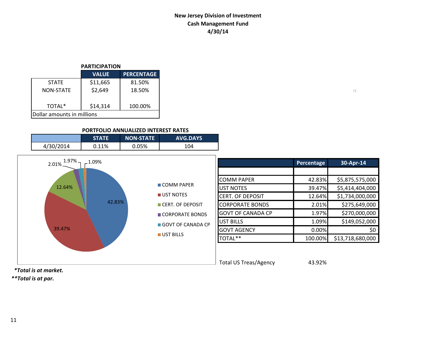## **New Jersey Division of Investment Cash Management Fund 4/30/14**

 $\Box$ 

#### **PARTICIPATION**

|                            | <b>VALUE</b> | <b>PERCENTAGE</b> |  |  |  |  |
|----------------------------|--------------|-------------------|--|--|--|--|
| <b>STATE</b>               | \$11,665     | 81.50%            |  |  |  |  |
| NON-STATE                  | \$2,649      | 18.50%            |  |  |  |  |
| TOTAL*                     | \$14,314     | 100.00%           |  |  |  |  |
| Dollar amounts in millions |              |                   |  |  |  |  |

### **PORTFOLIO ANNUALIZED INTEREST RATES**

|           | <b>STATE</b> | <b>INON-STATE</b> | <b>AVG.DAYS</b> |
|-----------|--------------|-------------------|-----------------|
| 4/30/2014 | 0.11%        | 0.05%             | 104             |



 *\*Total is at market.*

*\*\*Total is at par.*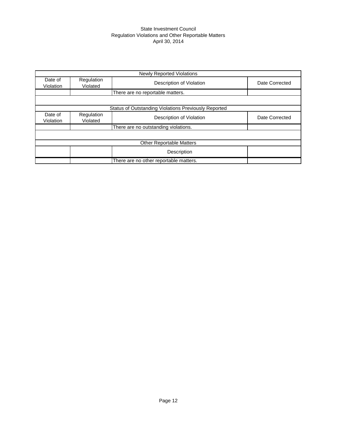#### State Investment Council Regulation Violations and Other Reportable Matters April 30, 2014

|                      |                        | <b>Newly Reported Violations</b>                            |                |
|----------------------|------------------------|-------------------------------------------------------------|----------------|
| Date of<br>Violation | Regulation<br>Violated | Description of Violation                                    | Date Corrected |
|                      |                        | There are no reportable matters.                            |                |
|                      |                        |                                                             |                |
|                      |                        | <b>Status of Outstanding Violations Previously Reported</b> |                |
| Date of<br>Violation | Regulation<br>Violated | Description of Violation                                    | Date Corrected |
|                      |                        | There are no outstanding violations.                        |                |
|                      |                        |                                                             |                |
|                      |                        | <b>Other Reportable Matters</b>                             |                |
|                      |                        | Description                                                 |                |
|                      |                        | There are no other reportable matters.                      |                |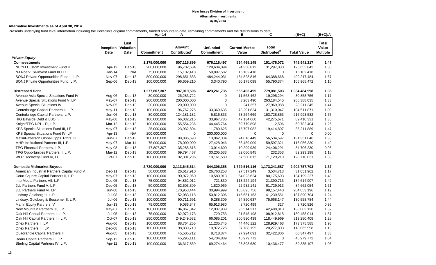#### **Alternative Investments as of April 30, 2014**

Presents underlying fund level information including the Portfolio's original commitments, funded amounts to date, remaining commitments and the distributions to date.

|                                             |               |                                     | Apr-14            | A                                         |                               | в                              | C                                        | $=(B+C)$           | $=(B+C)/A$                 |
|---------------------------------------------|---------------|-------------------------------------|-------------------|-------------------------------------------|-------------------------------|--------------------------------|------------------------------------------|--------------------|----------------------------|
|                                             | Date          | Last<br>Inception Valuation<br>Date | <b>Commitment</b> | <b>Amount</b><br>Contributed <sup>1</sup> | <b>Unfunded</b><br>Commitment | <b>Current Market</b><br>Value | <b>Total</b><br>Distributed <sup>2</sup> | <b>Total Value</b> | Total<br>Value<br>Multiple |
| <b>Private Equity</b>                       |               |                                     |                   |                                           |                               |                                |                                          |                    |                            |
| <b>Co-Investments</b>                       |               |                                     | 1,175,000,000     | 507,115,895                               | 676,116,497                   | 594,465,145                    | 151,476,072                              | 745,941,217        | 1.47                       |
| NB/NJ Custom Investment Fund II             | Apr-12        | Dec-13                              | 200,000,000       | 96,702,634                                | 128,634,094                   | 94,358,812                     | 31,297,030                               | 125,655,842        | 1.30                       |
| NJ Roark Co-Invest Fund III LLC             | $Jan-14$      | N/A                                 | 75,000,000        | 15,102,418                                | 59,897,582                    | 15,102,418                     | 0                                        | 15,102,418         | 1.00                       |
| SONJ Private Opportunities Fund II, L.P.    | Nov-07        | Dec-13                              | 800,000,000       | 298,651,633                               | 484,244,031                   | 434,828,816                    | 64,388,668                               | 499,217,484        | 1.67                       |
| SONJ Private Opportunities Fund, L.P.       | Sep-06        | Dec-13                              | 100,000,000       | 96,659,210                                | 3,340,790                     | 50,175,098                     | 55,790,374                               | 105,965,472        | 1.10                       |
| <b>Distressed Debt</b>                      |               |                                     | 1,277,807,307     | 987,019,506                               | 423,261,735                   | 555,403,495                    | 779,081,503                              | 1,334,484,998      | 1.35                       |
| Avenue Asia Special Situations Fund IV      | Aug-06        | Dec-13                              | 30,000,000        | 26,283,722                                | $\Omega$                      | 11,563,462                     | 19,295,294                               | 30,858,756         | 1.17                       |
| Avenue Special Situations Fund V, LP        | May-07        | Dec-13                              | 200,000,000       | 200,000,000                               | $\mathbf 0$                   | 3,203,490                      | 263, 184, 545                            | 266,388,035        | 1.33                       |
| Avenue Special Situations IV                | Nov-05        | Dec-13                              | 20,000,000        | 20,000,000                                | $\Omega$                      | 241,357                        | 27,969,988                               | 28,211,345         | 1.41                       |
| Centerbridge Capital Partners II, L.P.      | May-11        | Dec-13                              | 100,000,000       | 96,767,275                                | 33,369,635                    | 73,201,824                     | 31,310,047                               | 104,511,871        | 1.08                       |
| Centerbridge Capital Partners, L.P.         | Jun-06        | Dec-13                              | 80,000,000        | 124, 181, 182                             | 5,816,833                     | 53,264,669                     | 163,728,863                              | 216,993,532        | 1.75                       |
| HIG Bayside Debt & LBO II                   | May-08        | Dec-13                              | 100,000,000       | 66,032,215                                | 33,967,785                    | 47,134,660                     | 42,275,671                               | 89,410,331         | 1.35                       |
| Knight/TPG NPL - R, L.P.                    | Mar-12        | Dec-13                              | 100,000,000       | 55,554,236                                | 44,445,764                    | 69,779,898                     | 2,506                                    | 69,782,404         | 1.26                       |
| KPS Special Situations Fund III, LP         | May-07        | Dec-13                              | 25,000,000        | 23,932,804                                | 11,789,625                    | 15,797,082                     | 19,414,807                               | 35,211,889         | 1.47                       |
| KPS Special Situations Fund IV, LP          | Apr-13        | N/A                                 | 200,000,000       | $\mathbf 0$                               | 200,000,000                   | $\mathbf 0$                    | 0                                        | $\Omega$           | 0.00                       |
| MatlinPatterson Global Opps. Ptnrs. III     | Jun-07        | Dec-13                              | 100,000,000       | 98,886,693                                | 13,062,334                    | 74,816,449                     | 56,534,597                               | 131,351,046        | 1.33                       |
| MHR Institutional Partners III, L.P.        | May-07        | Mar-14                              | 75,000,000        | 78,000,000                                | 27,428,046                    | 56,459,009                     | 59,597,321                               | 116,056,330        | 1.49                       |
| TPG Financial Partners, L.P.                | May-08        | Dec-13                              | 47,807,307        | 35,285,615                                | 13,014,600                    | 10,299,939                     | 24,406,291                               | 34,706,230         | 0.98                       |
| TPG Opportunities Partners II, L.P.         | Mar-12        | Dec-13                              | 100,000,000       | 69,794,467                                | 30,205,533                    | 82,060,845                     | 232,353                                  | 82,293,198         | 1.18                       |
| WLR Recovery Fund IV, LP                    | Oct-07        | Dec-13                              | 100,000,000       | 92,301,296                                | 10,161,580                    | 57,580,812                     | 71,129,219                               | 128,710,031        | 1.39                       |
| <b>Domestic Midmarket Buyout</b>            |               |                                     | 2,720,000,000     | 2,113,645,614                             | 844,306,358                   | 1,729,516,116                  | 1,173,241,587                            | 2,902,757,703      | 1.37                       |
| American Industrial Partners Capital Fund V | Dec-11        | Dec-13                              | 50,000,000        | 26,617,910                                | 26,760,258                    | 27,517,249                     | 3,534,713                                | 31,051,962         | 1.17                       |
| Court Square Capital Partners II, L.P.      | May-07        | Dec-13                              | 100,000,000       | 90,972,960                                | 10,580,913                    | 54,023,624                     | 80,175,603                               | 134,199,227        | 1.48                       |
| InterMedia Partners VII, L.P.               | Dec-05        | Dec-13                              | 75,000,000        | 94,862,012                                | 721,830                       | 113,224,194                    | 21,390,713                               | 134,614,907        | 1.42                       |
| JLL Partners Fund V, L.P.                   | $Dec-05$      | Dec-13                              | 50,000,000        | 52,503,309                                | 1,820,969                     | 22,932,141                     | 61,729,913                               | 84,662,054         | 1.61                       |
| JLL Partners Fund VI, LP                    | <b>Jun-08</b> | Dec-13                              | 150,000,000       | 170,953,444                               | 30,994,999                    | 105,895,756                    | 98, 157, 440                             | 204,053,196        | 1.19                       |
| Lindsay Goldberg III, L.P.                  | Jul-08        | Dec-13                              | 200,000,000       | 152,083,118                               | 50,812,306                    | 146,651,153                    | 41,239,551                               | 187,890,704        | 1.24                       |
| Lindsay, Goldberg & Bessemer II, L.P.       | Jul-06        | Dec-13                              | 100,000,000       | 90,711,691                                | 9,288,309                     | 54,890,637                     | 75,668,147                               | 130,558,784        | 1.44                       |
| Marlin Equity Partners IV                   | $Jun-13$      | Dec-13                              | 75,000,000        | 9,086,347                                 | 65,913,980                    | 8,720,499                      | 327                                      | 8,720,826          | 0.96                       |
| New Mountain Partners III, L.P.             | May-07        | Dec-13                              | 100,000,000       | 104,867,342                               | 12,037,939                    | 95,514,317                     | 42,488,813                               | 138,003,130        | 1.32                       |
| Oak Hill Capital Partners II, L.P.          | $Jul-05$      | Dec-13                              | 75,000,000        | 82,972,173                                | 729,753                       | 21,545,198                     | 108,912,815                              | 130,458,014        | 1.57                       |
| Oak Hill Capital Partners III, L.P.         | Oct-07        | Dec-13                              | 250,000,000       | 249,249,532                               | 66,085,201                    | 200,830,439                    | 118,449,969                              | 319,280,408        | 1.28                       |
| Onex Partners II, LP                        | Aug-06        | Dec-13                              | 100,000,000       | 88,764,255                                | 11,235,745                    | 44,446,122                     | 128,929,463                              | 173,375,585        | 1.95                       |
| Onex Partners III, LP                       | Dec-08        | Dec-13                              | 100,000,000       | 98,839,719                                | 10,972,726                    | 97,788,195                     | 20,277,803                               | 118,065,998        | 1.19                       |
| Quadrangle Capital Partners II              | Aug-05        | Dec-13                              | 50,000,000        | 45,505,712                                | 8,718,374                     | 27,924,691                     | 32,422,806                               | 60,347,497         | 1.33                       |
| Roark Capital Partners III L.P.             | Sep-12        | $Dec-13$                            | 100,000,000       | 45,295,111                                | 54,704,889                    | 46,979,772                     | 0                                        | 46,979,772         | 1.04                       |
| Sterling Capital Partners IV, L.P.          | Apr-12        | Dec-13                              | 100,000,000       | 36,317,859                                | 69,274,464                    | 28,898,630                     | 10,436,477                               | 39,335,107         | 1.08                       |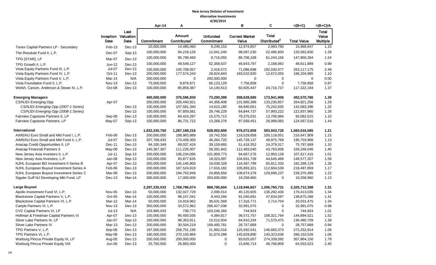|                                          | 4/30/2014     |                                     |               |                                    |                                      |                                |                                          |                    |                                          |
|------------------------------------------|---------------|-------------------------------------|---------------|------------------------------------|--------------------------------------|--------------------------------|------------------------------------------|--------------------|------------------------------------------|
|                                          |               |                                     | Apr-14        | Α                                  |                                      | в                              | C                                        | $=(B+C)$           | $=(B+C)/A$                               |
|                                          | Date          | Last<br>Inception Valuation<br>Date | Commitment    | Amount<br>Contributed <sup>1</sup> | <b>Unfunded</b><br><b>Commitment</b> | <b>Current Market</b><br>Value | <b>Total</b><br>Distributed <sup>2</sup> | <b>Total Value</b> | <b>Total</b><br>Value<br><b>Multiple</b> |
| Tenex Capital Partners LP - Secondary    | Feb-13        | Dec-13                              | 20,000,000    | 14,485,060                         | 9,249,153                            | 12,974,857                     | 2,993,790                                | 15,968,647         | 1.10                                     |
| The Resolute Fund II, L.P.               | Dec-07        | Sep-13                              | 100,000,000   | 94,219,126                         | 12,041,240                           | 98,087,230                     | 22,495,600                               | 120,582,830        | 1.28                                     |
| TPG [STAR], LP                           | Mar-07        | Dec-13                              | 100,000,000   | 95,798,460                         | 9,716,055                            | 86,706,108                     | 61,244,156                               | 147,950,264        | 1.54                                     |
| TPG Growth II. L.P.                      | $Jun-12$      | Dec-13                              | 100,000,000   | 49,549,127                         | 52,358,537                           | 46,643,797                     | 2,168,092                                | 48,811,889         | 0.99                                     |
| Vista Equity Partners Fund III, L.P.     | Jul-07        | Dec-13                              | 100,000,000   | 105,708,057                        | 2,416,572                            | 71,086,698                     | 192,030,477                              | 263,117,175        | 2.49                                     |
| Vista Equity Partners Fund IV, L.P.      | Oct-11        | Dec-13                              | 200,000,000   | 177,574,243                        | 28,824,843                           | 183,532,930                    | 12,672,055                               | 196,204,985        | 1.10                                     |
| Vista Equity Partners Fund V, L.P.       | Mar-14        | N/A                                 | 200,000,000   | 0                                  | 200,000,000                          | 0                              | 0                                        | 0                  | 0.00                                     |
| Vista Foundation Fund II, L.P.           | <b>Nov-13</b> | Dec-13                              | 75,000,000    | 8,876,871                          | 66,123,129                           | 7,756,858                      | 0                                        | 7,756,858          | 0.87                                     |
| Welsh, Carson, Anderson & Stowe XI, L.P. | Oct-08        | Dec-13                              | 100,000,000   | 85,859,387                         | 14,140,613                           | 92,605,447                     | 24,716,737                               | 117,322,184        | 1.37                                     |
| <b>Emerging Managers</b>                 |               |                                     | 400,000,000   | 376,596,930                        | 73,200,399                           | 308,628,880                    | 173,941,906                              | 482,570,786        | 1.28                                     |
| CS/NJDI Emerging Opp                     | Apr-07        |                                     | 200,000,000   | 205,440,921                        | 44,356,408                           | 131,685,399                    | 133,235,857                              | 264,921,256        | 1.29                                     |
| CS/NJDI Emerging Opp (2007-1 Series)     |               | Dec-13                              | 100,000,000   | 107,581,340                        | 14,610,180                           | 66,840,661                     | 75,242,635                               | 142,083,296        | 1.32                                     |
| CS/NJDI Emerging Opp (2008-1 Series)     |               | Dec-13                              | 100,000,000   | 97,859,581                         | 29,746,228                           | 64,844,737                     | 57,993,222                               | 122,837,960        | 1.26                                     |
| Fairview Capstone Partners II, LP        | Sep-08        | Dec-13                              | 100,000,000   | 84,424,287                         | 15,575,713                           | 79,375,031                     | 13,706,984                               | 93,082,015         | 1.10                                     |
| Fairview Capstone Partners, LP           | May-07        | Sep-13                              | 100,000,000   | 86,731,722                         | 13,268,278                           | 97,568,451                     | 26,999,065                               | 124,567,516        | 1.44                                     |
| <b>International</b>                     |               |                                     | 1,832,235,750 | 1,287,188,216                      | 628,052,808                          | 976,072,859                    | 583,943,726                              | 1,560,016,585      | 1.21                                     |
| AIMS/NJ Euro Small and Mid Fund I, L.P.  | Feb-06        | Dec-13                              | 200,000,000   | 188,983,989                        | 18,742,550                           | 116,529,858                    | 100,118,051                              | 216,647,909        | 1.15                                     |
| AIMS/NJ Euro Small and Mid Fund II, L.P. | Jul-07        | Dec-13                              | 207,768,033   | 173,409,300                        | 46,264,720                           | 145,728,137                    | 49,975,769                               | 195,703,906        | 1.13                                     |
| Anacap Credit Opportunities II, LP       | Dec-11        | Dec-13                              | 84,100,349    | 69,037,424                         | 39,159,660                           | 51,418,352                     | 24,379,317                               | 75,797,669         | 1.10                                     |
| Anacap Financial Partners II             | May-08        | Dec-13                              | 140,367,367   | 111,226,007                        | 59,391,842                           | 112,483,040                    | 43,763,006                               | 156,246,046        | 1.40                                     |
| New Jersey Asia Investors II, L.P.       | Jul-11        | Sep-13                              | 200,000,000   | 106,234,095                        | 101,959,773                          | 94,667,276                     | 12,950,139                               | 107,617,415        | 1.01                                     |
| New Jersey Asia Investors, L.P.          | Jan-08        | Sep-13                              | 100,000,000   | 93,877,635                         | 18,023,097                           | 104,931,739                    | 44,645,468                               | 149,577,207        | 1.59                                     |
| NJHL European BO Investment II Series B  | Apr-07        | Dec-13                              | 200,000,000   | 145,140,900                        | 19,038,328                           | 116,487,799                    | 65,811,330                               | 182,299,129        | 1.26                                     |
| NJHL European Buyout Investment Series A | Feb-06        | Dec-13                              | 200,000,000   | 187,524,919                        | 17,616,182                           | 105,893,321                    | 112,604,539                              | 218,497,859        | 1.17                                     |
| NJHL European Buyout Investment Series C | Mar-08        | Dec-13                              | 200,000,000   | 194,753,948                        | 24,856,656                           | 108,674,378                    | 129,696,107                              | 238,370,485        | 1.22                                     |
| Siguler Guff NJ Developing Mkt Fund, LP  | Dec-13        | Mar-14                              | 300,000,000   | 17,000,000                         | 283,000,000                          | 19,258,960                     | 0                                        | 19,258,960         | 1.13                                     |
| <b>Large Buyout</b>                      |               |                                     | 2,297,235,033 | 1,768,796,074                      | 868,785,604                          | 1,118,946,667                  | 1,206,765,731                            | 2,325,712,398      | 1.31                                     |
| Apollo Investment Fund VI, L.P.          | <b>Nov-05</b> | Dec-13                              | 50,000,000    | 132,027,729                        | 2,090,014                            | 40,120,605                     | 136,292,430                              | 176,413,035        | 1.34                                     |
| Blackstone Capital Partners V, L.P.      | Oct-05        | Mar-14                              | 100,000,000   | 98,157,041                         | 8,443,266                            | 91,040,691                     | 47,634,597                               | 138,675,288        | 1.41                                     |
| Blackstone Capital Partners VI, L.P.     | Mar-12        | Mar-14                              | 50,000,000    | 14,918,962                         | 36,631,568                           | 17,316,771                     | 2,714,704                                | 20,031,475         | 1.34                                     |
| Carlyle Partners VI, L.P.                | <b>Nov-13</b> | Dec-13                              | 300,000,000   | 33,572,962                         | 266,427,038                          | 32,991,075                     | 0                                        | 32,991,075         | 0.98                                     |
| CVC Capital Partners VI, LP              | $Jul-13$      | N/A                                 | 103,985,033   | 738,773                            | 103,246,260                          | 744,924                        | 0                                        | 744,924            | 1.01                                     |
| Hellman & Friedman Capital Partners VI   | Apr-07        | Dec-13                              | 100,000,000   | 95,450,035                         | 4,384,817                            | 36,572,757                     | 108,321,764                              | 144,894,521        | 1.52                                     |
| Silver Lake Partners III, LP             | Jan-07        | Sep-13                              | 100,000,000   | 98,353,911                         | 15,512,934                           | 64,910,234                     | 71,570,475                               | 136,480,709        | 1.39                                     |
| Silver Lake Partners IV                  | Mar-13        | Dec-13                              | 200,000,000   | 30,504,219                         | 169,495,781                          | 28,757,669                     | 0                                        | 28,757,669         | 0.94                                     |
| TPG Partners V, L.P.                     | Sep-06        | Dec-13                              | 187,500,000   | 256,751,196                        | 21,962,016                           | 125,592,541                    | 146,660,373                              | 272,252,914        | 1.06                                     |
| TPG Partners VI, L.P.                    | May-08        | Dec-13                              | 180,000,000   | 270,105,869                        | 31,674,288                           | 145,829,890                    | 140,323,636                              | 286, 153, 526      | 1.06                                     |
| Warburg Pincus Private Equity IX, LP     | Aug-05        | Dec-13                              | 200,000,000   | 200,000,000                        | 0                                    | 83,625,057                     | 274,339,092                              | 357,964,150        | 1.79                                     |
| Warburg Pincus Private Equity VIII       | Jun-06        | Dec-13                              | 25,750,000    | 26,883,000                         | 0                                    | 15,846,714                     | 48,706,809                               | 64,553,523         | 2.40                                     |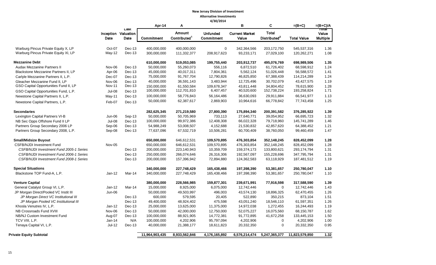|                                         |               |                                     | Apr-14            | А                                  |                               | в                              | C                                        | $=(B+C)$           | $=(B+C)/A$                       |
|-----------------------------------------|---------------|-------------------------------------|-------------------|------------------------------------|-------------------------------|--------------------------------|------------------------------------------|--------------------|----------------------------------|
|                                         | Date          | Last<br>Inception Valuation<br>Date | <b>Commitment</b> | Amount<br>Contributed <sup>1</sup> | <b>Unfunded</b><br>Commitment | <b>Current Market</b><br>Value | <b>Total</b><br>Distributed <sup>2</sup> | <b>Total Value</b> | ाणवा<br>Value<br><b>Multiple</b> |
| Warburg Pincus Private Equity X, LP     | Oct-07        | Dec-13                              | 400,000,000       | 400,000,000                        | $\mathbf 0$                   | 342,364,566                    | 203, 172, 750                            | 545,537,316        | 1.36                             |
| Warburg Pincus Private Equity XI, LP    | $May-12$      | Dec-13                              | 300,000,000       | 111,332,377                        | 208,917,623                   | 93,233,171                     | 27,029,100                               | 120,262,271        | 1.08                             |
| <b>Mezzanine Debt</b>                   |               |                                     | 610,000,000       | 519,053,085                        | 199,755,440                   | 203,912,737                    | 495,076,769                              | 698,989,506        | 1.35                             |
| Audax Mezzanine Partners II             | Nov-06        | Dec-13                              | 50,000,000        | 55,260,073                         | 556,116                       | 6,872,510                      | 61,726,402                               | 68,598,912         | 1.24                             |
| Blackstone Mezzanine Partners II, LP    | Apr-06        | Dec-13                              | 45,000,000        | 40,017,311                         | 7,804,361                     | 5,562,124                      | 51,026,448                               | 56,588,572         | 1.41                             |
| Carlyle Mezzanine Partners II, L.P.     | Dec-07        | Dec-13                              | 75,000,000        | 91,767,704                         | 12,790,826                    | 46,825,850                     | 67,388,439                               | 114,214,289        | 1.24                             |
| Gleacher Mezzanine Fund II, LP          | <b>Nov-06</b> | Dec-13                              | 40,000,000        | 36,591,143                         | 3,483,944                     | 12,725,496                     | 30,702,079                               | 43,427,575         | 1.19                             |
| GSO Capital Opportunities Fund II, LP   | Nov-11        | Dec-13                              | 150.000.000       | 61,550,584                         | 109,678,347                   | 43,811,448                     | 34,804,452                               | 78.615.900         | 1.28                             |
| GSO Capital Opportunities Fund, L.P.    | <b>Jul-08</b> | Dec-13                              | 100,000,000       | 112,701,810                        | 6,407,457                     | 40,520,600                     | 152,738,224                              | 193,258,824        | 1.71                             |
| Newstone Capital Partners II, L.P.      | May-11        | Dec-13                              | 100,000,000       | 58,776,843                         | 56,164,486                    | 36,630,093                     | 29,911,884                               | 66,541,977         | 1.13                             |
| Newstone Capital Partners, L.P.         | Feb-07        | Dec-13                              | 50,000,000        | 62,387,617                         | 2,869,903                     | 10,964,616                     | 66,778,842                               | 77,743,458         | 1.25                             |
| <b>Secondaries</b>                      |               |                                     | 282,625,345       | 271,219,580                        | 27,800,390                    | 175,894,340                    | 200,391,582                              | 376,285,922        | 1.39                             |
| Lexington Capital Partners VI-B         | Jun-06        | Sep-13                              | 50,000,000        | 50,705,969                         | 733,113                       | 27,640,771                     | 39,054,952                               | 66,695,723         | 1.32                             |
| NB Sec Opps Offshore Fund II LP         | Jul-08        | Dec-13                              | 100,000,000       | 99,972,386                         | 12,408,308                    | 66,022,328                     | 79,718,960                               | 145,741,289        | 1.46                             |
| Partners Group Secondary 2006 LP        | Sep-06        | Dec-13                              | 54,988,249        | 53,008,507                         | 4,152,688                     | 21,530,832                     | 42,857,620                               | 64,388,452         | 1.21                             |
| Partners Group Secondary 2008, L.P.     | Sep-08        | Dec-13                              | 77,637,096        | 67,532,719                         | 10,506,281                    | 60,700,409                     | 38,760,050                               | 99,460,459         | 1.47                             |
| <b>Small/Midsize Buyout</b>             |               |                                     | 650,000,000       | 646,612,531                        | 109,570,895                   | 476,303,854                    | 352,148,245                              | 828,452,099        | 1.28                             |
| <b>CSFB/NJDI Investment Fund</b>        | Nov-05        |                                     | 650,000,000       | 646,612,531                        | 109,570,895                   | 476,303,854                    | 352,148,245                              | 828,452,099        | 1.28                             |
| CSFB/NJDI Investment Fund 2005-1 Series |               | Dec-13                              | 200,000,000       | 223,140,943                        | 10,359,709                    | 159,374,173                    | 133,800,621                              | 293,174,794        | 1.31                             |
| CSFB/NJDI Investment Fund 2006-1 Series |               | Dec-13                              | 250,000,000       | 266,074,646                        | 26,316,306                    | 192,567,097                    | 155,228,696                              | 347,795,794        | 1.31                             |
| CSFB/NJDI Investment Fund 2008-1 Series |               | Dec-13                              | 200,000,000       | 157,396,942                        | 72,894,880                    | 124,362,583                    | 63,118,929                               | 187,481,512        | 1.19                             |
| <b>Special Situations</b>               |               |                                     | 340,000,000       | 227,748,429                        | 165,438,466                   | 197,398,390                    | 53,381,657                               | 250,780,047        | 1.10                             |
| Blackstone TOP Fund-A, L.P.             | $Jan-12$      | Mar-14                              | 340,000,000       | 227,748,429                        | 165,438,466                   | 197,398,390                    | 53,381,657                               | 250,780,047        | 1.10                             |
| <b>Venture Capital</b>                  |               |                                     | 380,000,000       | 228,566,985                        | 159,877,301                   | 239,671,991                    | 77,916,598                               | 317,588,590        | 1.39                             |
| General Catalyst Group VI, L.P.         | Jan-12        | Mar-14                              | 15,000,000        | 8,925,000                          | 6,075,000                     | 12,742,446                     | $\Omega$                                 | 12,742,446         | 1.43                             |
| JP Morgan Direct/Pooled VC Instit III   | Jun-06        |                                     | 50,000,000        | 49,503,997                         | 496,003                       | 43,574,130                     | 18,896,325                               | 62,470,455         | 1.26                             |
| JP Morgan Direct VC Institutional III   |               | Dec-13                              | 600,000           | 579,595                            | 20,405                        | 522,890                        | 350,215                                  | 873,104            | 1.51                             |
| JP Morgan Pooled VC Institutional III   |               | Dec-13                              | 49,400,000        | 48,924,402                         | 475,598                       | 43,051,240                     | 18,546,110                               | 61,597,351         | 1.26                             |
| Khosla Venutres IV, L.P.                | $Jan-12$      | Dec-13                              | 25,000,000        | 13,625,000                         | 11,375,000                    | 14,972,038                     | 1,272,455                                | 16,244,493         | 1.19                             |
| NB Crossroads Fund XVIII                | Nov-06        | Dec-13                              | 50,000,000        | 42,000,000                         | 12,750,000                    | 52,075,227                     | 16,075,560                               | 68,150,787         | 1.62                             |
| NB/NJ Custom Investment Fund            | Aug-07        | Dec-13                              | 100,000,000       | 88,921,905                         | 14,772,381                    | 91,772,895                     | 41,672,258                               | 133,445,153        | 1.50                             |
| TCV VIII, L.P.                          | Jan-14        | N/A                                 | 100,000,000       | 4,202,906                          | 95,797,094                    | 4,202,906                      | $\mathbf 0$                              | 4,202,906          | 1.00                             |
| Tenaya Capital VI, L.P.                 | $Jul-12$      | Dec-13                              | 40,000,000        | 21,388,177                         | 18,611,823                    | 20,332,350                     | $\mathbf 0$                              | 20,332,350         | 0.95                             |
| <b>Private Equity Subtotal</b>          |               |                                     | 11,964,903,435    | 8,933,562,846                      | 4,176,165,892                 | 6,576,214,474                  | 5,247,365,377                            | 11,823,579,850     | 1.32                             |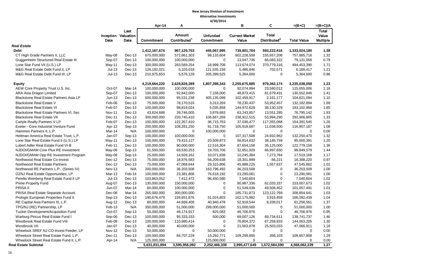|                                           |               |                                    |               |                          | 4/30/2014                            |                                |                          |                    |                          |
|-------------------------------------------|---------------|------------------------------------|---------------|--------------------------|--------------------------------------|--------------------------------|--------------------------|--------------------|--------------------------|
|                                           |               |                                    | Apr-14        | Α                        |                                      | в                              | С                        | $=(B+C)$           | $=(B+C)/A$               |
|                                           |               | Last                               |               | Amount                   |                                      |                                | <b>Total</b>             |                    | <b>Total</b>             |
|                                           | Date          | <b>Inception Valuation</b><br>Date | Commitment    | Contributed <sup>1</sup> | <b>Unfunded</b><br><b>Commitment</b> | <b>Current Market</b><br>Value | Distributed <sup>2</sup> | <b>Total Value</b> | Value<br><b>Multiple</b> |
| <b>Real Estate</b>                        |               |                                    |               |                          |                                      |                                |                          |                    |                          |
| <b>Debt</b>                               |               |                                    | 1,412,167,674 | 967,129,703              | 445,067,995                          | 739,801,764                    | 593,222,416              | 1,333,024,180      | 1.38                     |
| CT High Grade Partners II, LLC            | May-08        | Dec-13                             | 675,000,000   | 572,861,303              | 99,133,604                           | 602,228,509                    | 155,657,208              | 757,885,716        | 1.32                     |
| Guggenheim Structured Real Estate III     | Sep-07        | Dec-13                             | 100,000,000   | 100,000,000              | 0                                    | 13,047,736                     | 66,083,322               | 79,131,058         | 0.79                     |
| Lone Star Fund VII (U.S.) LP              | May-11        | Dec-13                             | 300,000,000   | 283,589,254              | 18,999,708                           | 113,674,074                    | 370,779,316              | 484,453,390        | 1.71                     |
| M&G Real Estate Debt Fund II, LP          | $Jul-13$      | Dec-13                             | 126,192,021   | 5,103,018                | 121,535,158                          | 5,486,846                      | 702,571                  | 6,189,417          | 1.21                     |
| M&G Real Estate Debt Fund III, LP         | $Jul-13$      | Dec-13                             | 210,975,653   | 5,576,128                | 205,399,525                          | 5,364,600                      | 0                        | 5,364,600          | 0.96                     |
| <b>Equity</b>                             |               |                                    | 4,219,664,220 | 2,628,826,389            | 1,807,398,343                        | 2,255,675,885                  | 979,362,174              | 3,235,038,058      | 1.23                     |
| AEW Core Property Trust U.S. Inc.         | Oct-07        | Mar-14                             | 100,000,000   | 100,000,000              | 0                                    | 92,074,994                     | 23,580,012               | 115,655,006        | 1.16                     |
| ARA Asia Dragon Limited                   | Sep-07        | Dec-13                             | 100,000,000   | 92,842,000               | 7,158,000                            | 48,873,415                     | 81,679,431               | 130,552,846        | 1.41                     |
| Blackstone Real Estate Partners Asia LP   | $Jun-13$      | Dec-13                             | 500,000,000   | 95,531,238               | 405,135,099                          | 102,459,917                    | 2,161,177                | 104,621,094        | 1.10                     |
| <b>Blackstone Real Estate V</b>           | Feb-06        | Dec-13                             | 75,000,000    | 78,170,516               | 3,313,359                            | 78,230,437                     | 53,952,457               | 132,182,894        | 1.69                     |
| <b>Blackstone Real Estate VI</b>          | Feb-07        | Dec-13                             | 100,000,000   | 98,819,024               | 5,035,858                            | 144,972,629                    | 38,130,329               | 183,102,958        | 1.85                     |
| Blackstone Real Estate Partners VI, Sec   | <b>Nov-11</b> | Dec-13                             | 43,624,688    | 39,746,005               | 3,878,683                            | 63,243,857                     | 13,551,285               | 76,795,142         | 1.93                     |
| <b>Blackstone Real Estate VII</b>         | Dec-11        | Dec-13                             | 300,000,000   | 220,745,410              | 106,667,269                          | 238,912,515                    | 53,994,290               | 292,906,805        | 1.33                     |
| Carlyle Realty Partners V LP              | Feb-07        | Dec-13                             | 100,000,000   | 122,357,410              | 36,715,763                           | 37,036,477                     | 117,355,068              | 154,391,545        | 1.26                     |
| Exeter - Core Industrial Venture Fund     | Apr-12        | Sep-13                             | 200,000,000   | 108,281,250              | 91,718,750                           | 105,918,687                    | 11,038,500               | 116,957,187        | 1.08                     |
| Hammes Partners II, L.P.                  | Mar-14        | N/A                                | 100,000,000   | $\mathbf 0$              | 100,000,000                          | 0                              | 0                        | $\Omega$           | 0.00                     |
| Heitman America Real Estate Trust, L.P.   | Jan-07        | Sep-13                             | 100,000,000   | 100,000,000              | 0                                    | 107,317,508                    | 24,932,962               | 132,250,470        | 1.32                     |
| Lone Star Real Estate Fund II (U.S.) LP   | May-11        | Dec-13                             | 100,000,000   | 79,415,127               | 20,509,873                           | 56,814,632                     | 38, 185, 759             | 95,000,391         | 1.20                     |
| Lubert Adler Real Estate Fund VI-B        | Feb-11        | Dec-13                             | 100,000,000   | 90,000,000               | 12,516,304                           | 87,654,158                     | 35,125,000               | 122,779,158        | 1.36                     |
| NJDOI/GMAM Core Plus RE Investment        | May-08        | Sep-13                             | 81,500,000    | 69,530,253               | 19,703,706                           | 32,851,929                     | 66,997,650               | 99,849,579         | 1.44                     |
| NJDOI/GMAM Opp RE Investment Program      | May-08        | Sep-13                             | 25,000,000    | 14,928,162               | 10,071,838                           | 10,245,384                     | 7,273,784                | 17,519,168         | 1.17                     |
| Northwood Real Estate Co-Invest           | Dec-12        | Dec-13                             | 75,000,000    | 18,876,583               | 56,209,638                           | 18,301,999                     | 86,221                   | 18,388,220         | 0.97                     |
| Northwood Real Estate Partners            | Dec-12        | $Dec-13$                           | 75,000,000    | 47,068,644               | 29,315,806                           | 45,988,225                     | 1,557,637                | 47,545,862         | 1.01                     |
| Northwood RE Partners L.P., (Series IV)   | <b>Nov-13</b> | N/A                                | 200,000,000   | 36,203,508               | 163,796,492                          | 36,203,508                     | 0                        | 36,203,508         | 1.00                     |
| OZNJ Real Estate Opportunities, LP        | Mar-13        | Feb-14                             | 100,000,000   | 23,381,808               | 76,618,192                           | 23,290,081                     | 0                        | 23,290,081         | 1.00                     |
| Perella Weinberg Real Estate Fund II LP   | $Jul-13$      | Dec-13                             | 103,863,052   | 7,412,472                | 96,450,580                           | 7,540,604                      | $\mathbf 0$              | 7,540,604          | 1.02                     |
| Prime Property Fund                       | Aug-07        | Dec-13                             | 130,000,000   | 150,000,000              | 0                                    | 90,987,336                     | 62,020,337               | 153,007,673        | 1.02                     |
| PRISA II                                  | <b>Jun-07</b> | Mar-14                             | 60,000,000    | 100,000,000              | 0                                    | 51,549,038                     | 49,508,452               | 101,057,491        | 1.01                     |
| PRISA Real Estate Separate Account        | Dec-06        | Mar-14                             | 265,000,000   | 300,000,000              | 0                                    | 185,731,873                    | 123,122,769              | 308,854,641        | 1.03                     |
| Prologis European Properties Fund II      | Sep-13        | Dec-13                             | 190,676,479   | 159,651,676              | 31,024,803                           | 162,175,982                    | 3,916,458                | 166,092,439        | 1.04                     |
| RE Capital Asia Partners III, L.P.        | Aug-12        | Dec-13                             | 80,000,000    | 44,669,409               | 40,940,478                           | 52,918,544                     | 8,338,017                | 61,256,561         | 1.37                     |
| TPG/NJ (RE) Partnership, LP               | Feb-13        | N/A                                | 350,000,000   | 51,000,000               | 299,000,000                          | 51,000,000                     | 0                        | 51,000,000         | 1.00                     |
| Tucker Development/Acquisition Fund       | Oct-07        | Sep-13                             | 50,000,000    | 49,174,917               | 825,083                              | 46,706,976                     | 0                        | 46,706,976         | 0.95                     |
| Warburg Pincus Real Estate Fund I         | Sep-06        | Dec-13                             | 100,000,000   | 95,333,333               | 500,000                              | 69,007,126                     | 69,734,611               | 138,741,737        | 1.46                     |
| Westbrook Real Estate Fund VIII           | Feb-08        | Dec-13                             | 100,000,000   | 110,980,414              | 0                                    | 76,804,372                     | 67,258,833               | 144,063,205        | 1.30                     |
| Westbrook VII                             | Jan-07        | Dec-13                             | 40,000,000    | 40,000,000               | 0                                    | 21,563,878                     | 25,503,033               | 47,066,911         | 1.18                     |
| Wheelock SREF NJ CO-Invest Feeder, LP     | Nov-12        | Dec-13                             | 50,000,000    | 0                        | 50,000,000                           | $\mathbf 0$                    | 0                        | 0                  | 0.00                     |
| Wheelock Street Real Estate Fund, L.P.    | Dec-11        | Dec-13                             | 100,000,000   | 84,707,229               | 15,292,771                           | 109,299,805                    | 358,103                  | 109,657,908        | 1.29                     |
| Wheelock Street Real Estate Fund II, L.P. | Apr-14        | N/A                                | 125,000,000   | 0                        | 125,000,000                          | 0                              | 0                        | 0                  | 0.00                     |
| <b>Real Estate Subtotal</b>               |               |                                    | 5,631,831,894 | 3,595,956,092            | 2,252,466,338                        | 2,995,477,649                  | 1,572,584,590            | 4,568,062,239      | 1.27                     |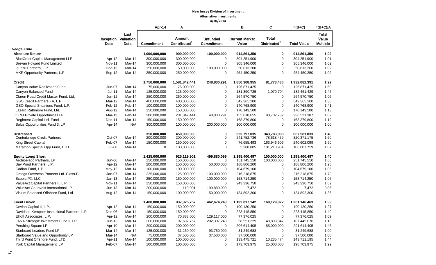|                                              |                    |                                            | Apr-14                     | Α                                         |                                      | в                              | C                                        | =(B+C)                     | $=(B+C)/A$                        |
|----------------------------------------------|--------------------|--------------------------------------------|----------------------------|-------------------------------------------|--------------------------------------|--------------------------------|------------------------------------------|----------------------------|-----------------------------------|
|                                              | Date               | Last<br><b>Inception Valuation</b><br>Date | Commitment                 | <b>Amount</b><br>Contributed <sup>1</sup> | <b>Unfunded</b><br><b>Commitment</b> | <b>Current Market</b><br>Value | <b>Total</b><br>Distributed <sup>2</sup> | <b>Total Value</b>         | Total<br>Value<br><b>Multiple</b> |
| <b>Hedge Fund</b>                            |                    |                                            |                            |                                           |                                      |                                |                                          |                            |                                   |
| <b>Absolute Return</b>                       |                    |                                            | 1,000,000,000              | 900,000,000                               | 100,000,000                          | 914,861,350                    | $\mathbf 0$                              | 914,861,350                | 1.02                              |
| <b>BlueCrest Capital Management LLP</b>      | Apr-12             | Mar-14                                     | 300,000,000                | 300,000,000                               | 0                                    | 304,251,900                    | $\mathbf 0$                              | 304,251,900                | 1.01                              |
| Brevan Howard Fund Limited                   | <b>Nov-11</b>      | Mar-14                                     | 300,000,000                | 300,000,000                               | 0                                    | 305,346,000                    | $\mathbf 0$                              | 305,346,000                | 1.02                              |
| Iquazu Partners, L.P.                        | Dec-13             | Mar-14                                     | 150,000,000                | 50,000,000                                | 100,000,000                          | 50,813,200                     | $\mathbf 0$                              | 50,813,200                 | 1.02                              |
| MKP Opportunity Partners, L.P.               | Sep-12             | Mar-14                                     | 250,000,000                | 250,000,000                               | 0                                    | 254,450,250                    | $\mathbf 0$                              | 254,450,250                | 1.02                              |
| <b>Credit</b>                                |                    |                                            | 1,750,000,000              | 1,581,842,441                             | 248,830,291                          | 1,850,308,955                  | 81,773,436                               | 1,932,082,391              | 1.22                              |
| Canyon Value Realization Fund                | $Jun-07$           | Mar-14                                     | 75,000,000                 | 75,000,000                                | $\mathbf 0$                          | 126,871,425                    | $\mathbf 0$                              | 126,871,425                | 1.69                              |
| Canyon Balanced Fund                         | $Jul-11$           | Mar-14                                     | 125,000,000                | 125,000,000                               | 0                                    | 181,390,725                    | 1,070,704                                | 182,461,429                | 1.46                              |
| Claren Road Credit Master Fund, Ltd.         | Jun-12             | Mar-14                                     | 250,000,000                | 250,000,000                               | 0                                    | 264,570,750                    | 0                                        | 264,570,750                | 1.06                              |
| GSO Credit Partners - A. L.P.                | Mar-12             | Mar-14                                     | 400,000,000                | 400,000,000                               | 0                                    | 542,365,200                    | $\mathbf 0$                              | 542,365,200                | 1.36                              |
| GSO Special Situations Fund, L.P.            | Feb-12             | Feb-14                                     | 100,000,000                | 100,000,000                               | 0                                    | 140,768,900                    | $\mathbf 0$                              | 140,768,900                | 1.41                              |
| Lazard Rathmore Fund, Ltd.                   | Aug-12             | Mar-14                                     | 150,000,000                | 150,000,000                               | 0                                    | 170,143,500                    | $\mathsf 0$                              | 170,143,500                | 1.13                              |
| OZNJ Private Opportunities LP                | Mar-13             | Feb-14                                     | 200,000,000                | 231,842,441                               | 48,830,291                           | 155,818,655                    | 80,702,732                               | 236,521,387                | 1.02                              |
| Regiment Capital Ltd. Fund                   | Dec-11             | Mar-14                                     | 150,000,000                | 150,000,000                               | 0                                    | 168,379,800                    | $\mathbf 0$                              | 168,379,800                | 1.12                              |
| Solus Opportunities Fund 3, LP               | Apr-14             | N/A                                        | 300,000,000                | 100,000,000                               | 200,000,000                          | 100,000,000                    | $\mathbf 0$                              | 100,000,000                | 1.00                              |
| <b>Distressed</b>                            |                    |                                            | 350.000.000                | 450.000.000                               | 0                                    | 323.797.035                    | 343.783.998                              | 667.581.033                | 1.48                              |
| Centerbridge Credit Partners                 | Oct-07             | Mar-14                                     | 200,000,000                | 200,000,000                               | 0                                    | 241,752,736                    | 78,618,439                               | 320, 371, 175              | 1.60                              |
| <b>King Street Capital</b>                   | Feb-07             | Mar-14                                     | 150,000,000                | 150,000,000                               | 0                                    | 76,655,493                     | 163,946,606                              | 240,602,099                | 1.60                              |
| Marathon Special Opp Fund, LTD               | <b>Jul-08</b>      | Mar-14                                     | $\mathbf 0$                | 100,000,000                               | 0                                    | 5,388,805                      | 101,218,954                              | 106,607,759                | 1.07                              |
| <b>Equity Long/ Short</b>                    |                    |                                            | 1,425,000,000              | 925,119,901                               | 499,880,099                          | 1,198,400,497                  | 100,000,000                              | 1,298,400,497              | 1.40                              |
| Archipelago Partners, LP                     | Jun-06             | Mar-14                                     | 150,000,000                | 150,000,000                               | 0                                    | 151,745,550                    | 100,000,000                              | 251,745,550                | 1.68                              |
| Bay Pond Partners, L.P.<br>Cadian Fund, L.P. | Apr-12             | Mar-14                                     | 200,000,000                | 150,000,000                               | 50,000,000<br>0                      | 188,806,200                    | 0<br>$\mathbf 0$                         | 188,806,200                | 1.26<br>1.05                      |
| Omega Overseas Partners Ltd. Class-B         | May-12             | Mar-14<br>Mar-14                           | 100,000,000                | 100,000,000                               |                                      | 104,679,100                    | $\mathbf 0$                              | 104,679,100                | 1.73                              |
| Scopia PX, LLC                               | Jan-07<br>$Jan-13$ | Mar-14                                     | 225,000,000<br>250,000,000 | 125,000,000<br>150,000,000                | 100,000,000<br>100,000,000           | 216,218,875<br>158,714,250     | $\mathbf 0$                              | 216,218,875<br>158,714,250 | 1.06                              |
| ValueAct Capital Partners II, L.P.           | <b>Nov-11</b>      | Mar-14                                     | 150,000,000                | 150,000,000                               | 0                                    | 243,336,750                    | $\mathbf 0$                              | 243,336,750                | 1.62                              |
| ValueAct Co-Invest International LP          | $Jun-13$           | Mar-14                                     | 200,000,000                | 119,901                                   | 199,880,099                          | 7,472                          | $\mathsf 0$                              | 7,472                      | 0.06                              |
| Visium Balanced Offshore Fund, Ltd           | Aug-12             | Mar-14                                     | 150,000,000                | 100,000,000                               | 50,000,000                           | 134,892,300                    | $\Omega$                                 | 134,892,300                | 1.35                              |
| <b>Event Driven</b>                          |                    |                                            | 1,400,000,000              | 937,325,757                               | 462,674,243                          | 1,132,017,142                  | 169,129,322                              | 1,301,146,463              | 1.39                              |
| Cevian Capital II, L.P.                      | Apr-12             | Mar-14                                     | 150,000,000                | 150,000,000                               | 0                                    | 190,130,250                    | 0                                        | 190,130,250                | 1.27                              |
| Davidson Kempner Institutional Partners, L.P | Dec-06             | Mar-14                                     | 150,000,000                | 150,000,000                               | $\Omega$                             | 223,415,850                    | $\mathbf 0$                              | 223,415,850                | 1.49                              |
| Elliott Associates, L.P.                     | Apr-12             | Mar-14                                     | 200,000,000                | 70,883,000                                | 129,117,000                          | 77,376,025                     | $\Omega$                                 | 77,376,025                 | 1.09                              |
| JANA Strategic Investment Fund II, LP        | $Jun-13$           | Mar-14                                     | 300,000,000                | 97,692,757                                | 202,307,243                          | 58,551,229                     | 48,893,847                               | 107,445,076                | 1.10                              |
| Pershing Square LP                           | Apr-10             | Mar-14                                     | 200,000,000                | 200,000,000                               | 0                                    | 206,614,405                    | 85,000,000                               | 291,614,405                | 1.46                              |
| Starboard Leaders Fund LP                    | Mar-14             | Mar-14                                     | 125,000,000                | 31,250,000                                | 93,750,000                           | 31,249,688                     | $\mathbf 0$                              | 31,249,688                 | 1.00                              |
| Starboard Value and Opportunity LP           | Mar-14             | N/A                                        | 75,000,000                 | 37,500,000                                | 37,500,000                           | 37,500,000                     | $\mathbf 0$                              | 37,500,000                 | 1.00                              |
| Third Point Offshore Fund, LTD.              | Apr-11             | Mar-14                                     | 100,000,000                | 100,000,000                               | 0                                    | 133,475,721                    | 10,235,474                               | 143,711,195                | 1.44                              |
| York Capital Management, LP                  | Feb-07             | Mar-14                                     | 100,000,000                | 100,000,000                               | 0                                    | 173,703,975                    | 25,000,000                               | 198,703,975                | 1.99                              |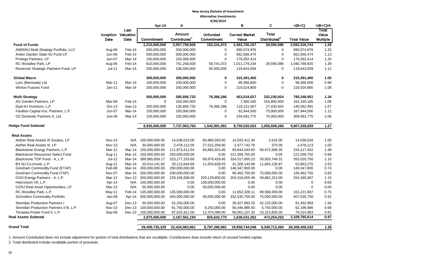|                                         | <b>Inception Valuation</b> | Last   |                       |                                    |                               |                                |                                          |                    |                            |
|-----------------------------------------|----------------------------|--------|-----------------------|------------------------------------|-------------------------------|--------------------------------|------------------------------------------|--------------------|----------------------------|
|                                         | Date                       | Date   | Commitment            | Amount<br>Contributed <sup>1</sup> | <b>Unfunded</b><br>Commitment | <b>Current Market</b><br>Value | <b>Total</b><br>Distributed <sup>2</sup> | <b>Total Value</b> | Total<br>Value<br>Multiple |
| <b>Fund of Funds</b>                    |                            |        | 2,210,000,000         | 2,057,758,928                      | 152,241,072                   | 2,562,726,157                  | 29,590,586                               | 2,592,316,743      | 1.26                       |
| AIMS/NJ Multi-Strategy Portfolio, LLC   | Aug-06                     | Feb-14 | 550,000,000           | 550,000,000                        | $\mathbf 0$                   | 690,074,976                    | $\mathbf 0$                              | 690,074,976        | 1.25                       |
| Arden Garden State NJ Fund LP.          | $Jun-06$                   | Feb-14 | 500,000,000           | 500,000,000                        | $\mathbf 0$                   | 562,566,474                    | $\mathbf 0$                              | 562,566,474        | 1.13                       |
| Protege Partners, LP                    | Jun-07                     | Mar-14 | 150,000,000           | 150,000,000                        | $\mathbf 0$                   | 179,262,414                    | $\mathbf 0$                              | 179,262,414        | 1.20                       |
| RC Woodley Park, LP                     | Aug-06                     | Feb-14 | 810,000,000           | 751,258,928                        | 58,741,072                    | 1,011,179,234                  | 29,590,586                               | 1,040,769,820      | 1.39                       |
| Reservoir Strategic Partners Fund, LP   | <b>Jul-11</b>              | Mar-14 | 200,000,000           | 106,500,000                        | 93,500,000                    | 119,643,059                    | 0                                        | 119,643,059        | 1.12                       |
| <b>Global Macro</b>                     |                            |        | 300,000,000           | 300,000,000                        | 0                             | 315,391,400                    | 0                                        | 315,391,400        | 1.05                       |
| Lynx (Bermuda) Ltd.                     | Mar-11                     | Mar-14 | 100,000,000           | 100,000,000                        | 0                             | 99,366,600                     | $\mathbf 0$                              | 99,366,600         | 0.99                       |
| <b>Winton Futures Fund</b>              | $Jan-11$                   | Mar-14 | 200,000,000           | 200,000,000                        | $\mathbf 0$                   | 216,024,800                    | $\mathbf 0$                              | 216,024,800        | 1.08                       |
| <b>Multi-Strategy</b>                   |                            |        | 500,000,000           | 585,856,733                        | 79,366,286                    | 453,018,027                    | 332,230,924                              | 785,248,951        | 1.34                       |
| AG Garden Partners, LP                  | Mar-06                     | Feb-14 | 0                     | 150,000,000                        | $\mathbf 0$                   | 7,360,185                      | 154,800,000                              | 162,160,185        | 1.08                       |
| Dyal NJ Investors, L.P.                 | Oct-12                     | Sep-13 | 200,000,000           | 135,856,733                        | 79,366,286                    | 118,131,567                    | 27,430,924                               | 145,562,491        | 1.07                       |
| Farallon Capital Inst. Partners, L.P.   | <b>Jun-07</b>              | Mar-14 | 150,000,000           | 150,000,000                        | 0                             | 92,944,500                     | 75,000,000                               | 167,944,500        | 1.12                       |
| OZ Domestic Partners II, Ltd.           | Jun-06                     | Mar-14 | 150,000,000           | 150,000,000                        | $\mathbf 0$                   | 234,581,775                    | 75,000,000                               | 309,581,775        | 2.06                       |
| <b>Hedge Fund Subtotal</b>              |                            |        | 8,935,000,000         | 7,737,903,760                      | 1,542,991,991                 | 8,750,520,563                  | 1,056,508,266                            | 9,807,028,829      | 1.27                       |
| <b>Real Assets</b>                      |                            |        |                       |                                    |                               |                                |                                          |                    |                            |
| Aether Real Assets III Surplus, LP      | <b>Nov-13</b>              | N/A    | 100,000,000.00        | 14,036,023.00                      | 85,966,593.00                 | 14,033,412.30                  | 2,616.00                                 | 14,036,028         | 1.00                       |
| Aether Real Assets III, LP              | <b>Nov-13</b>              | N/A    | 30,000,000.00         | 2,478,112.00                       | 27,522,258.00                 | 2,477,742.76                   | 370.00                                   | 2,478,113          | 1.00                       |
| Blackstone Energy Partners, L.P.        | Mar-12                     | Mar-14 | 150,000,000.00        | 111,973,411.54                     | 60,865,923.46                 | 93,644,543.60                  | 60,472,858.35                            | 154,117,402        | 1.38                       |
| <b>Blackstone Resources Select Fund</b> | Aug-11                     | Mar-14 | 250,000,000.00        | 250,000,000.00                     | 0.00                          | 221,556,750.00                 | 0.00                                     | 221,556,750        | 0.89                       |
| Blackstone TOP Fund - A, L.P.           | Jul-12                     | Mar-14 | 389,985,858.17        | 323, 177, 253.66                   | 89,979,428.45                 | 324,517,000.23                 | 30,503,749.31                            | 355,020,750        | 1.10                       |
| BX NJ Co-Invest, L.P.                   | Aug-12                     | Mar-14 | 20,014,141.82         | 20,113,644.66                      | 11,554,628.03                 | 41,209,143.66                  | 11,654,130.87                            | 52,863,275         | 2.63                       |
| Gresham Commodity Fund (ETAP)           | Feb-08                     | Mar-14 | 200,000,000.00        | 200,000,000.00                     | 0.00                          | 148,347,800.00                 | 0.00                                     | 148,347,800        | 0.74                       |
| Gresham Commodity Fund (TAP)            | Nov-07                     | Mar-14 | 200,000,000.00        | 200,000,000.00                     | 0.00                          | 90,462,750.00                  | 75,000,000.00                            | 165,462,750        | 0.83                       |
| GSO Energy Partners - A, L.P.           | Mar-12                     | Dec-13 | 500,000,000.00        | 229,156,838.00                     | 329,129,850.00                | 204,318,055.49                 | 59,862,312.00                            | 264,180,367        | 1.15                       |
| Hitecvision VII, L.P.                   | Apr-14                     |        | N/A 100,000,000.00    | 0.00                               | 100,000,000.00                | 0.00                           | 0.00                                     | $\mathbf 0$        | 0.00                       |
| OZNJ Real Asset Opportunities, LP       | Mar-13                     | N/A    | 50,000,000.00         | 0.00                               | 50,000,000.00                 | 0.00                           | 0.00                                     | $\mathbf 0$        | 0.00                       |
| RC Woodley Park, L.P.                   | May-11                     | Feb-14 | 135,000,000.00        | 135,000,000.00                     | 0.00                          | 11,652,328.11                  | 89,569,359.00                            | 101,221,687        | 0.75                       |
| <b>Schroders Commodity Portfolio</b>    | Jan-08                     | Apr-14 | 500,000,000.00        | 450,000,000.00                     | 50,000,000.00                 | 332,535,750.00                 | 75,000,000.00                            | 407,535,750        | 0.91                       |
| <b>Sheridan Production Partners I</b>   | Aug-07                     | Dec-13 | 50,000,000.00         | 52,250,000.00                      | 0.00                          | 39,327,993.25                  | 42,125,000.00                            | 81,452,993         | 1.56                       |
| Sheridan Production Partners II-B, L.P  | <b>Nov-10</b>              | Dec-13 | 100,000,000.00        | 91,750,000.00                      | 8,250,000.00                  | 56,446,985.50                  | 5,750,000.00                             | 62,196,986         | 0.68                       |
| Tenaska Power Fund II, L.P.             | Sep-08                     |        | Dec-13 100,000,000.00 | 87,625,911.00                      | 12,374,089.00                 | 56,001,107.32                  | 23,313,856.00                            | 79,314,963         | 0.91                       |
| <b>Real Assets Subtotal</b>             |                            |        | 2,875,000,000         | 2,167,561,194                      | 825,642,770                   | 1,636,531,362                  | 473,254,252                              | 2,109,785,614      | 0.97                       |
| <b>Grand Total</b>                      |                            |        | 29,406,735,329        | 22,434,983,891                     | 8,797,266,991                 | 19,958,744,048                 | 8,349,712,484                            | 28,308,456,532     | 1.26                       |

1. Amount Contributed does not include adjustment for portion of total distributions that are recallable. Contributions does include return of unused funded capital.

2. Total distributed include recallable portion of proceeds.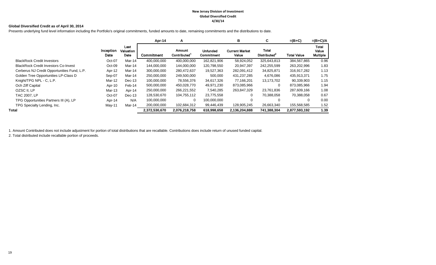#### **New Jersey Division of Investment Global Diversified Credit 4/30/14**

#### **Global Diversified Credit as of April 30, 2014**

Presents underlying fund level information including the Portfolio's original commitments, funded amounts to date, remaining commitments and the distributions to date.

|                                             |                   |                           | Apr-14        | A                                  |                                      | в                              | C                                 | $=(B+C)$           | $=(B+C)/A$                               |
|---------------------------------------------|-------------------|---------------------------|---------------|------------------------------------|--------------------------------------|--------------------------------|-----------------------------------|--------------------|------------------------------------------|
|                                             | Inception<br>Date | Last<br>Valuation<br>Date | Commitment    | Amount<br>Contributed <sup>1</sup> | <b>Unfunded</b><br><b>Commitment</b> | <b>Current Market</b><br>Value | Total<br>Distributed <sup>2</sup> | <b>Total Value</b> | <b>Total</b><br>Value<br><b>Multiple</b> |
| <b>BlackRock Credit Investors</b>           | Oct-07            | Mar-14                    | 400.000.000   | 400.000.000                        | 162.821.906                          | 58,924,052                     | 325.643.813                       | 384,567,865        | 0.96                                     |
| <b>BlackRock Credit Investors Co-Invest</b> | Oct-09            | Mar-14                    | 144,000,000   | 144,000,000                        | 120,798,550                          | 20,947,397                     | 242,255,599                       | 263,202,996        | 1.83                                     |
| Cerberus NJ Credit Opportunities Fund, L.P. | Apr-12            | Mar-14                    | 300,000,000   | 280,472,637                        | 19,527,363                           | 282,091,412                    | 34,825,871                        | 316,917,282        | 1.13                                     |
| Golden Tree Opportunities LP-Class D        | Sep-07            | Mar-14                    | 250,000,000   | 249,500,000                        | 500,000                              | 431,237,285                    | 4,676,086                         | 435,913,371        | 1.75                                     |
| Knight/TPG NPL - C, L.P.                    | Mar-12            | Dec-13                    | 100,000,000   | 78,556,376                         | 34,617,326                           | 77.166.201                     | 13,173,702                        | 90,339,903         | 1.15                                     |
| Och Ziff Capital                            | Apr-10            | Feb-14                    | 500,000,000   | 450,028,770                        | 49,971,230                           | 873,085,966                    |                                   | 873,085,966        | 1.94                                     |
| OZSC II. LP                                 | Mar-13            | Apr-14                    | 250,000,000   | 266,221,552                        | 7,540,285                            | 263,847,329                    | 23,761,836                        | 287,609,166        | 1.08                                     |
| TAC 2007, LP                                | Oct-07            | Dec-13                    | 128,530,670   | 104,755,112                        | 23,775,558                           | 0                              | 70,388,058                        | 70,388,058         | 0.67                                     |
| TPG Opportunities Partners III (A), LP      | Apr-14            | N/A                       | 100,000,000   | 0                                  | 100,000,000                          | 0                              |                                   | 0                  | 0.00                                     |
| TPG Specialty Lending, Inc.                 | May-11            | Mar-14                    | 200,000,000   | 102,684,312                        | 99,446,439                           | 128,905,245                    | 26,663,340                        | 155,568,585        | 1.52                                     |
| Total                                       |                   |                           | 2,372,530,670 | 2,076,218,758                      | 618,998,658                          | 2,136,204,888                  | 741,388,304                       | 2,877,593,192      | 1.39                                     |

1. Amount Contributed does not include adjustment for portion of total distributions that are recallable. Contributions does include return of unused funded capital.

2. Total distributed include recallable portion of proceeds.